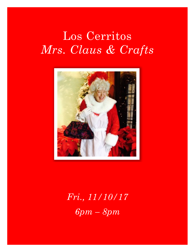# Los Cerritos *Mrs. Claus & Crafts*



*Fri., 11/10/17 6pm – 8pm*